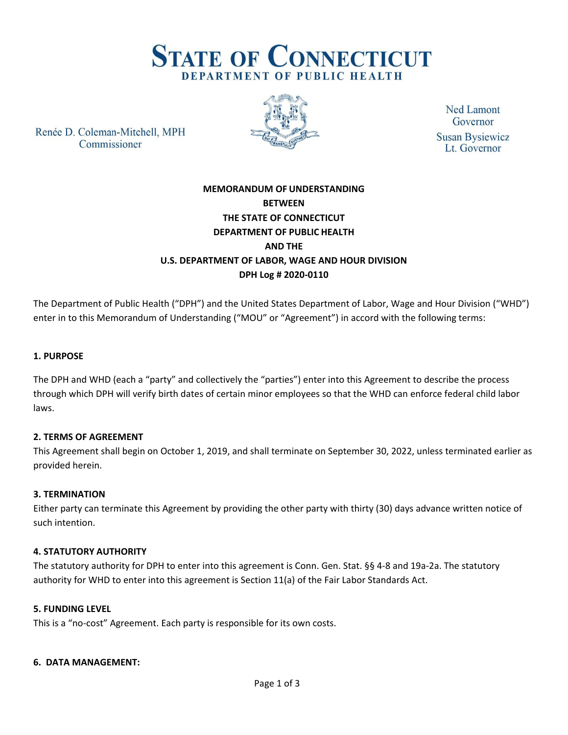

Renée D. Coleman-Mitchell, MPH Commissioner



**Ned Lamont** Governor **Susan Bysiewicz** Lt. Governor

# **MEMORANDUM OF UNDERSTANDING BETWEEN THE STATE OF CONNECTICUT DEPARTMENT OF PUBLIC HEALTH AND THE U.S. DEPARTMENT OF LABOR, WAGE AND HOUR DIVISION DPH Log # 2020-0110**

The Department of Public Health ("DPH") and the United States Department of Labor, Wage and Hour Division ("WHD") enter in to this Memorandum of Understanding ("MOU" or "Agreement") in accord with the following terms:

# **1. PURPOSE**

The DPH and WHD (each a "party" and collectively the "parties") enter into this Agreement to describe the process through which DPH will verify birth dates of certain minor employees so that the WHD can enforce federal child labor laws.

# **2. TERMS OF AGREEMENT**

This Agreement shall begin on October 1, 2019, and shall terminate on September 30, 2022, unless terminated earlier as provided herein.

# **3. TERMINATION**

Either party can terminate this Agreement by providing the other party with thirty (30) days advance written notice of such intention.

# **4. STATUTORY AUTHORITY**

The statutory authority for DPH to enter into this agreement is Conn. Gen. Stat. §§ 4-8 and 19a-2a. The statutory authority for WHD to enter into this agreement is Section 11(a) of the Fair Labor Standards Act.

# **5. FUNDING LEVEL**

This is a "no-cost" Agreement. Each party is responsible for its own costs.

### **6. DATA MANAGEMENT:**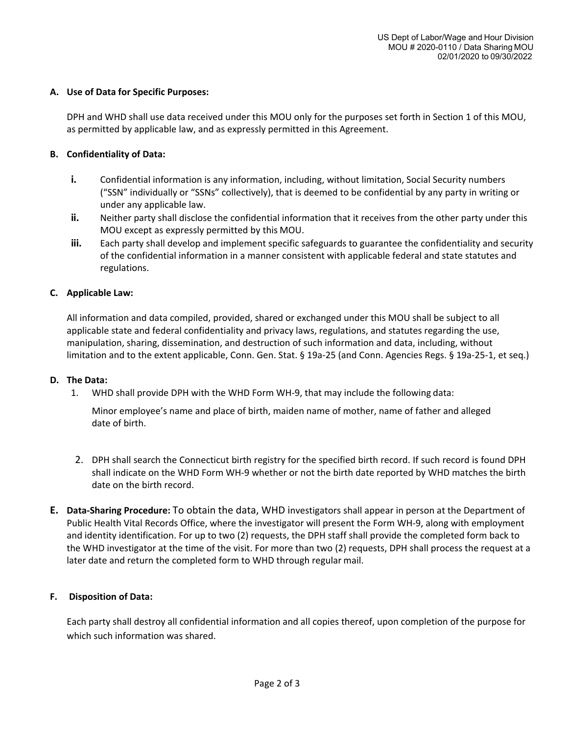### **A. Use of Data for Specific Purposes:**

DPH and WHD shall use data received under this MOU only for the purposes set forth in Section 1 of this MOU, as permitted by applicable law, and as expressly permitted in this Agreement.

## **B. Confidentiality of Data:**

- **i.** Confidential information is any information, including, without limitation, Social Security numbers ("SSN" individually or "SSNs" collectively), that is deemed to be confidential by any party in writing or under any applicable law.
- **ii.** Neither party shall disclose the confidential information that it receives from the other party under this MOU except as expressly permitted by this MOU.
- **iii.** Each party shall develop and implement specific safeguards to guarantee the confidentiality and security of the confidential information in a manner consistent with applicable federal and state statutes and regulations.

# **C. Applicable Law:**

All information and data compiled, provided, shared or exchanged under this MOU shall be subject to all applicable state and federal confidentiality and privacy laws, regulations, and statutes regarding the use, manipulation, sharing, dissemination, and destruction of such information and data, including, without limitation and to the extent applicable, Conn. Gen. Stat. § 19a-25 (and Conn. Agencies Regs. § 19a-25-1, et seq.)

### **D. The Data:**

1. WHD shall provide DPH with the WHD Form WH-9, that may include the following data:

Minor employee's name and place of birth, maiden name of mother, name of father and alleged date of birth.

- 2. DPH shall search the Connecticut birth registry for the specified birth record. If such record is found DPH shall indicate on the WHD Form WH-9 whether or not the birth date reported by WHD matches the birth date on the birth record.
- **E. Data-Sharing Procedure:** To obtain the data, WHD investigators shall appear in person at the Department of Public Health Vital Records Office, where the investigator will present the Form WH-9, along with employment and identity identification. For up to two (2) requests, the DPH staff shall provide the completed form back to the WHD investigator at the time of the visit. For more than two (2) requests, DPH shall process the request at a later date and return the completed form to WHD through regular mail.

### **F. Disposition of Data:**

Each party shall destroy all confidential information and all copies thereof, upon completion of the purpose for which such information was shared.